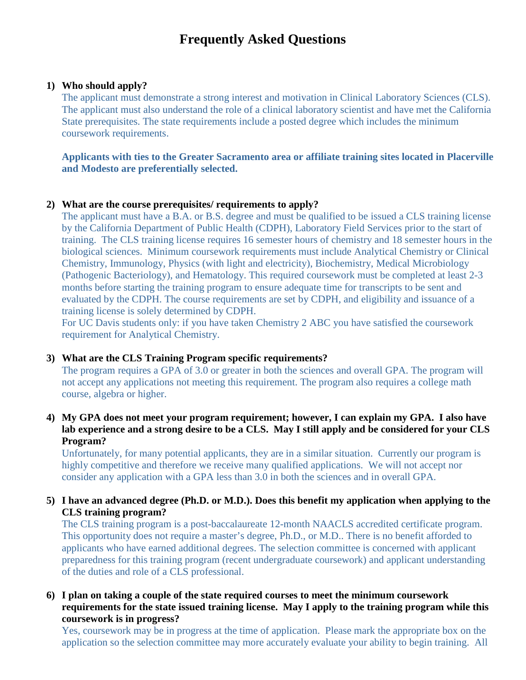# **Frequently Asked Questions**

#### **1) Who should apply?**

The applicant must demonstrate a strong interest and motivation in Clinical Laboratory Sciences (CLS). The applicant must also understand the role of a clinical laboratory scientist and have met the California State prerequisites. The state requirements include a posted degree which includes the minimum coursework requirements.

## **Applicants with ties to the Greater Sacramento area or affiliate training sites located in Placerville and Modesto are preferentially selected.**

#### **2) What are the course prerequisites/ requirements to apply?**

The applicant must have a B.A. or B.S. degree and must be qualified to be issued a CLS training license by the California Department of Public Health (CDPH), Laboratory Field Services prior to the start of training. The CLS training license requires 16 semester hours of chemistry and 18 semester hours in the biological sciences. Minimum coursework requirements must include Analytical Chemistry or Clinical Chemistry, Immunology, Physics (with light and electricity), Biochemistry, Medical Microbiology (Pathogenic Bacteriology), and Hematology. This required coursework must be completed at least 2-3 months before starting the training program to ensure adequate time for transcripts to be sent and evaluated by the CDPH. The course requirements are set by CDPH, and eligibility and issuance of a training license is solely determined by CDPH.

For UC Davis students only: if you have taken Chemistry 2 ABC you have satisfied the coursework requirement for Analytical Chemistry.

#### **3) What are the CLS Training Program specific requirements?**

The program requires a GPA of 3.0 or greater in both the sciences and overall GPA. The program will not accept any applications not meeting this requirement. The program also requires a college math course, algebra or higher.

# **4) My GPA does not meet your program requirement; however, I can explain my GPA. I also have lab experience and a strong desire to be a CLS. May I still apply and be considered for your CLS Program?**

Unfortunately, for many potential applicants, they are in a similar situation. Currently our program is highly competitive and therefore we receive many qualified applications. We will not accept nor consider any application with a GPA less than 3.0 in both the sciences and in overall GPA.

# **5) I have an advanced degree (Ph.D. or M.D.). Does this benefit my application when applying to the CLS training program?**

The CLS training program is a post-baccalaureate 12-month NAACLS accredited certificate program. This opportunity does not require a master's degree, Ph.D., or M.D.. There is no benefit afforded to applicants who have earned additional degrees. The selection committee is concerned with applicant preparedness for this training program (recent undergraduate coursework) and applicant understanding of the duties and role of a CLS professional.

# **6) I plan on taking a couple of the state required courses to meet the minimum coursework requirements for the state issued training license. May I apply to the training program while this coursework is in progress?**

Yes, coursework may be in progress at the time of application. Please mark the appropriate box on the application so the selection committee may more accurately evaluate your ability to begin training. All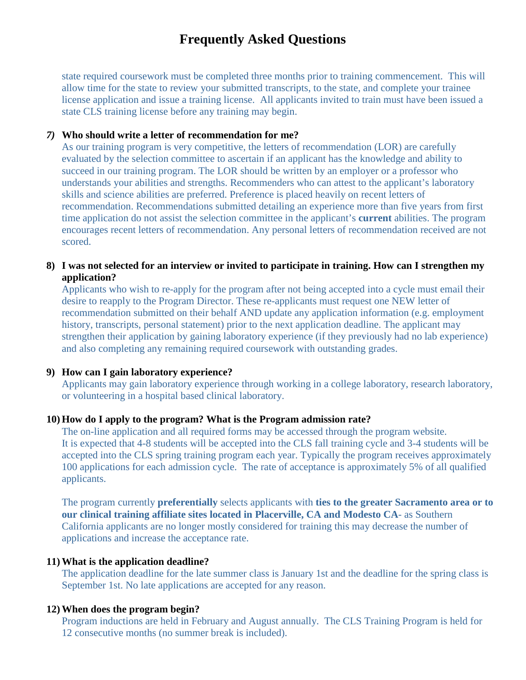# **Frequently Asked Questions**

state required coursework must be completed three months prior to training commencement. This will allow time for the state to review your submitted transcripts, to the state, and complete your trainee license application and issue a training license. All applicants invited to train must have been issued a state CLS training license before any training may begin.

#### *7)* **Who should write a letter of recommendation for me?**

As our training program is very competitive, the letters of recommendation (LOR) are carefully evaluated by the selection committee to ascertain if an applicant has the knowledge and ability to succeed in our training program. The LOR should be written by an employer or a professor who understands your abilities and strengths. Recommenders who can attest to the applicant's laboratory skills and science abilities are preferred. Preference is placed heavily on recent letters of recommendation. Recommendations submitted detailing an experience more than five years from first time application do not assist the selection committee in the applicant's **current** abilities. The program encourages recent letters of recommendation. Any personal letters of recommendation received are not scored.

### **8) I was not selected for an interview or invited to participate in training. How can I strengthen my application?**

Applicants who wish to re-apply for the program after not being accepted into a cycle must email their desire to reapply to the Program Director. These re-applicants must request one NEW letter of recommendation submitted on their behalf AND update any application information (e.g. employment history, transcripts, personal statement) prior to the next application deadline. The applicant may strengthen their application by gaining laboratory experience (if they previously had no lab experience) and also completing any remaining required coursework with outstanding grades.

#### **9) How can I gain laboratory experience?**

Applicants may gain laboratory experience through working in a college laboratory, research laboratory, or volunteering in a hospital based clinical laboratory.

#### **10) How do I apply to the program? What is the Program admission rate?**

The on-line application and all required forms may be accessed through the program website. It is expected that 4-8 students will be accepted into the CLS fall training cycle and 3-4 students will be accepted into the CLS spring training program each year. Typically the program receives approximately 100 applications for each admission cycle. The rate of acceptance is approximately 5% of all qualified applicants.

The program currently **preferentially** selects applicants with **ties to the greater Sacramento area or to our clinical training affiliate sites located in Placerville, CA and Modesto CA**- as Southern California applicants are no longer mostly considered for training this may decrease the number of applications and increase the acceptance rate.

## **11) What is the application deadline?**

The application deadline for the late summer class is January 1st and the deadline for the spring class is September 1st. No late applications are accepted for any reason.

#### **12) When does the program begin?**

Program inductions are held in February and August annually. The CLS Training Program is held for 12 consecutive months (no summer break is included).